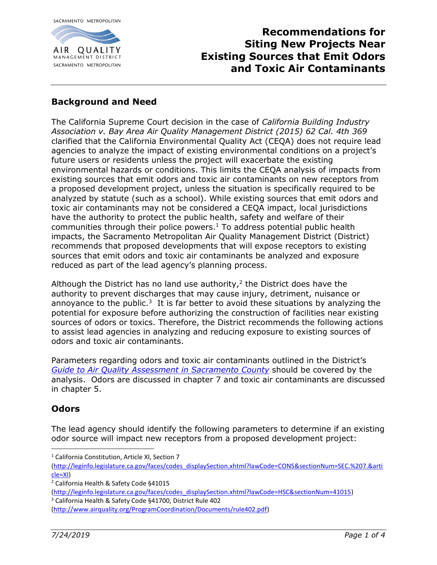

# **Recommendations for Siting New Projects Near Existing Sources that Emit Odors and Toxic Air Contaminants**

### **Background and Need**

The California Supreme Court decision in the case of *California Building Industry Association v. Bay Area Air Quality Management District (2015) 62 Cal. 4th 369* clarified that the California Environmental Quality Act (CEQA) does not require lead agencies to analyze the impact of existing environmental conditions on a project's future users or residents unless the project will exacerbate the existing environmental hazards or conditions. This limits the CEQA analysis of impacts from existing sources that emit odors and toxic air contaminants on new receptors from a proposed development project, unless the situation is specifically required to be analyzed by statute (such as a school). While existing sources that emit odors and toxic air contaminants may not be considered a CEQA impact, local jurisdictions have the authority to protect the public health, safety and welfare of their communities through their police powers.<sup>1</sup> To address potential public health impacts, the Sacramento Metropolitan Air Quality Management District (District) recommends that proposed developments that will expose receptors to existing sources that emit odors and toxic air contaminants be analyzed and exposure reduced as part of the lead agency's planning process.

Although the District has no land use authority, $2$  the District does have the authority to prevent discharges that may cause injury, detriment, nuisance or annoyance to the public. $3$  It is far better to avoid these situations by analyzing the potential for exposure before authorizing the construction of facilities near existing sources of odors or toxics. Therefore, the District recommends the following actions to assist lead agencies in analyzing and reducing exposure to existing sources of odors and toxic air contaminants.

Parameters regarding odors and toxic air contaminants outlined in the District's *[Guide to Air Quality Assessment in Sacramento County](http://www.airquality.org/Businesses/CEQA-Land-Use-Planning/CEQA-Guidance-Tools)* should be covered by the analysis. Odors are discussed in chapter 7 and toxic air contaminants are discussed in chapter 5.

#### **Odors**

 $\overline{\phantom{a}}$ 

The lead agency should identify the following parameters to determine if an existing odor source will impact new receptors from a proposed development project:

<sup>&</sup>lt;sup>1</sup> California Constitution, Article XI, Section 7

[<sup>\(</sup>http://leginfo.legislature.ca.gov/faces/codes\\_displaySection.xhtml?lawCode=CONS&sectionNum=SEC.%207.&arti](http://leginfo.legislature.ca.gov/faces/codes_displaySection.xhtml?lawCode=CONS§ionNum=SEC.%207.&article=XI) [cle=XI\)](http://leginfo.legislature.ca.gov/faces/codes_displaySection.xhtml?lawCode=CONS§ionNum=SEC.%207.&article=XI)

<sup>2</sup> California Health & Safety Code §41015

[<sup>\(</sup>http://leginfo.legislature.ca.gov/faces/codes\\_displaySection.xhtml?lawCode=HSC&sectionNum=41015\)](http://leginfo.legislature.ca.gov/faces/codes_displaySection.xhtml?lawCode=HSC§ionNum=41015) <sup>3</sup> California Health & Safety Code §41700, District Rule 402

[<sup>\(</sup>http://www.airquality.org/ProgramCoordination/Documents/rule402.pdf\)](http://www.airquality.org/ProgramCoordination/Documents/rule402.pdf)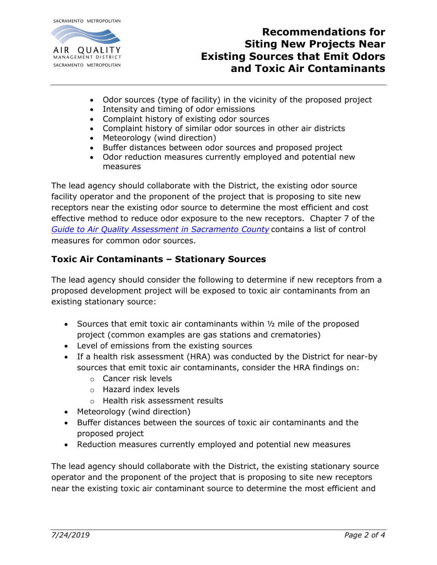

## **Recommendations for Siting New Projects Near Existing Sources that Emit Odors and Toxic Air Contaminants**

- Odor sources (type of facility) in the vicinity of the proposed project
- Intensity and timing of odor emissions
- Complaint history of existing odor sources
- Complaint history of similar odor sources in other air districts
- Meteorology (wind direction)
- Buffer distances between odor sources and proposed project
- Odor reduction measures currently employed and potential new measures

The lead agency should collaborate with the District, the existing odor source facility operator and the proponent of the project that is proposing to site new receptors near the existing odor source to determine the most efficient and cost effective method to reduce odor exposure to the new receptors. Chapter 7 of the *[Guide to Air Quality Assessment in Sacramento County](http://www.airquality.org/Businesses/CEQA-Land-Use-Planning/CEQA-Guidance-Tools)* contains a list of control measures for common odor sources.

## **Toxic Air Contaminants – Stationary Sources**

The lead agency should consider the following to determine if new receptors from a proposed development project will be exposed to toxic air contaminants from an existing stationary source:

- Sources that emit toxic air contaminants within  $\frac{1}{2}$  mile of the proposed project (common examples are gas stations and crematories)
- Level of emissions from the existing sources
- If a health risk assessment (HRA) was conducted by the District for near-by sources that emit toxic air contaminants, consider the HRA findings on:
	- o Cancer risk levels
	- o Hazard index levels
	- o Health risk assessment results
- Meteorology (wind direction)
- Buffer distances between the sources of toxic air contaminants and the proposed project
- Reduction measures currently employed and potential new measures

The lead agency should collaborate with the District, the existing stationary source operator and the proponent of the project that is proposing to site new receptors near the existing toxic air contaminant source to determine the most efficient and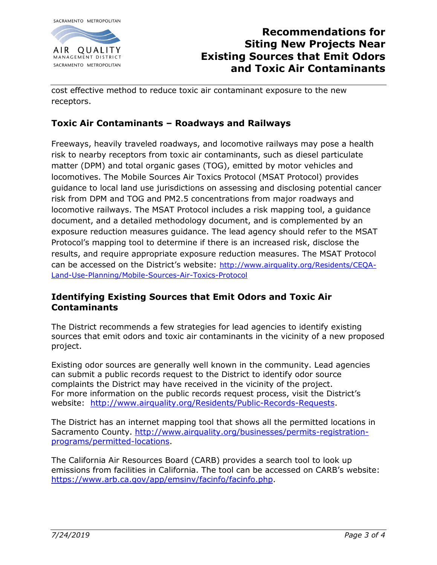

# **Recommendations for Siting New Projects Near Existing Sources that Emit Odors and Toxic Air Contaminants**

cost effective method to reduce toxic air contaminant exposure to the new receptors.

### **Toxic Air Contaminants – Roadways and Railways**

Freeways, heavily traveled roadways, and locomotive railways may pose a health risk to nearby receptors from toxic air contaminants, such as diesel particulate matter (DPM) and total organic gases (TOG), emitted by motor vehicles and locomotives. The Mobile Sources Air Toxics Protocol (MSAT Protocol) provides guidance to local land use jurisdictions on assessing and disclosing potential cancer risk from DPM and TOG and PM2.5 concentrations from major roadways and locomotive railways. The MSAT Protocol includes a risk mapping tool, a guidance document, and a detailed methodology document, and is complemented by an exposure reduction measures guidance. The lead agency should refer to the MSAT Protocol's mapping tool to determine if there is an increased risk, disclose the results, and require appropriate exposure reduction measures. The MSAT Protocol can be accessed on the District's website: [http://www.airquality.org/Residents/CEQA-](http://www.airquality.org/Residents/CEQA-Land-Use-Planning/Mobile-Sources-Air-Toxics-Protocol)[Land-Use-Planning/Mobile-Sources-Air-Toxics-Protocol](http://www.airquality.org/Residents/CEQA-Land-Use-Planning/Mobile-Sources-Air-Toxics-Protocol)

#### **Identifying Existing Sources that Emit Odors and Toxic Air Contaminants**

The District recommends a few strategies for lead agencies to identify existing sources that emit odors and toxic air contaminants in the vicinity of a new proposed project.

Existing odor sources are generally well known in the community. Lead agencies can submit a public records request to the District to identify odor source complaints the District may have received in the vicinity of the project. For more information on the public records request process, visit the District's website: [http://www.airquality.org/Residents/Public-Records-Requests.](http://www.airquality.org/Residents/Public-Records-Requests)

The District has an internet mapping tool that shows all the permitted locations in Sacramento County. [http://www.airquality.org/businesses/permits-registration](http://www.airquality.org/businesses/permits-registration-programs/permitted-locations)[programs/permitted-locations.](http://www.airquality.org/businesses/permits-registration-programs/permitted-locations)

The California Air Resources Board (CARB) provides a search tool to look up emissions from facilities in California. The tool can be accessed on CARB's website: [https://www.arb.ca.gov/app/emsinv/facinfo/facinfo.php.](https://www.arb.ca.gov/app/emsinv/facinfo/facinfo.php)